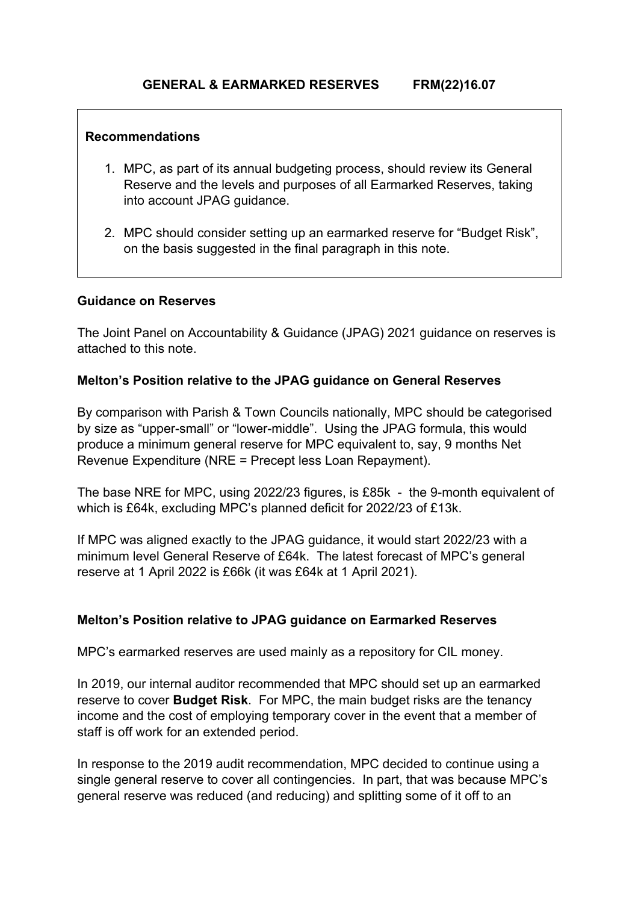# **GENERAL & EARMARKED RESERVES FRM(22)16.07**

#### **Recommendations**

- 1. MPC, as part of its annual budgeting process, should review its General Reserve and the levels and purposes of all Earmarked Reserves, taking into account JPAG guidance.
- 2. MPC should consider setting up an earmarked reserve for "Budget Risk", on the basis suggested in the final paragraph in this note.

# **Guidance on Reserves**

The Joint Panel on Accountability & Guidance (JPAG) 2021 guidance on reserves is attached to this note.

### **Melton's Position relative to the JPAG guidance on General Reserves**

By comparison with Parish & Town Councils nationally, MPC should be categorised by size as "upper-small" or "lower-middle". Using the JPAG formula, this would produce a minimum general reserve for MPC equivalent to, say, 9 months Net Revenue Expenditure (NRE = Precept less Loan Repayment).

The base NRE for MPC, using 2022/23 figures, is £85k - the 9-month equivalent of which is £64k, excluding MPC's planned deficit for 2022/23 of £13k.

If MPC was aligned exactly to the JPAG guidance, it would start 2022/23 with a minimum level General Reserve of £64k. The latest forecast of MPC's general reserve at 1 April 2022 is £66k (it was £64k at 1 April 2021).

# **Melton's Position relative to JPAG guidance on Earmarked Reserves**

MPC's earmarked reserves are used mainly as a repository for CIL money.

In 2019, our internal auditor recommended that MPC should set up an earmarked reserve to cover **Budget Risk**. For MPC, the main budget risks are the tenancy income and the cost of employing temporary cover in the event that a member of staff is off work for an extended period.

In response to the 2019 audit recommendation, MPC decided to continue using a single general reserve to cover all contingencies. In part, that was because MPC's general reserve was reduced (and reducing) and splitting some of it off to an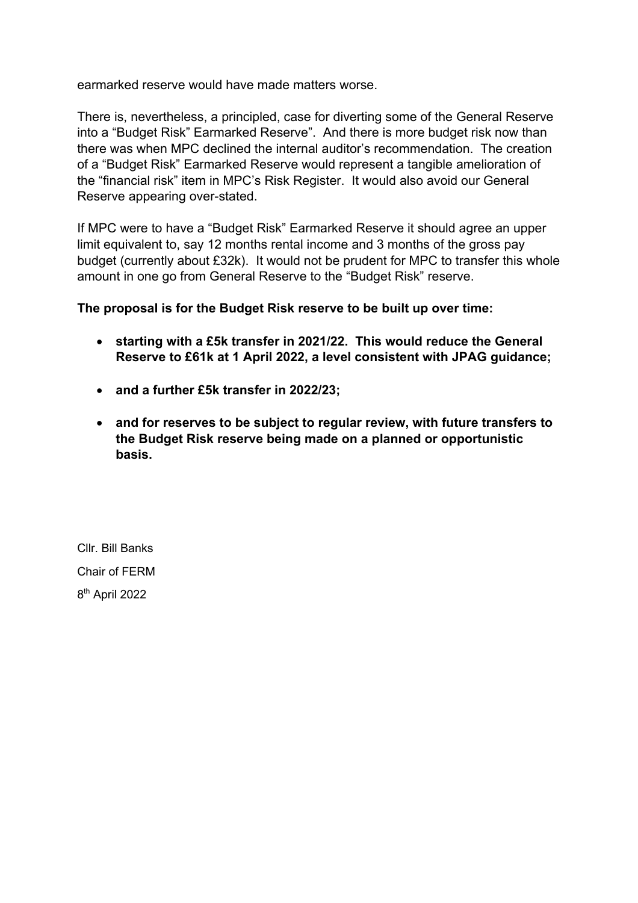earmarked reserve would have made matters worse.

There is, nevertheless, a principled, case for diverting some of the General Reserve into a "Budget Risk" Earmarked Reserve". And there is more budget risk now than there was when MPC declined the internal auditor's recommendation. The creation of a "Budget Risk" Earmarked Reserve would represent a tangible amelioration of the "financial risk" item in MPC's Risk Register. It would also avoid our General Reserve appearing over-stated.

If MPC were to have a "Budget Risk" Earmarked Reserve it should agree an upper limit equivalent to, say 12 months rental income and 3 months of the gross pay budget (currently about £32k). It would not be prudent for MPC to transfer this whole amount in one go from General Reserve to the "Budget Risk" reserve.

**The proposal is for the Budget Risk reserve to be built up over time:**

- **starting with a £5k transfer in 2021/22. This would reduce the General Reserve to £61k at 1 April 2022, a level consistent with JPAG guidance;**
- **and a further £5k transfer in 2022/23;**
- **and for reserves to be subject to regular review, with future transfers to the Budget Risk reserve being made on a planned or opportunistic basis.**

Cllr. Bill Banks Chair of FERM 8th April 2022